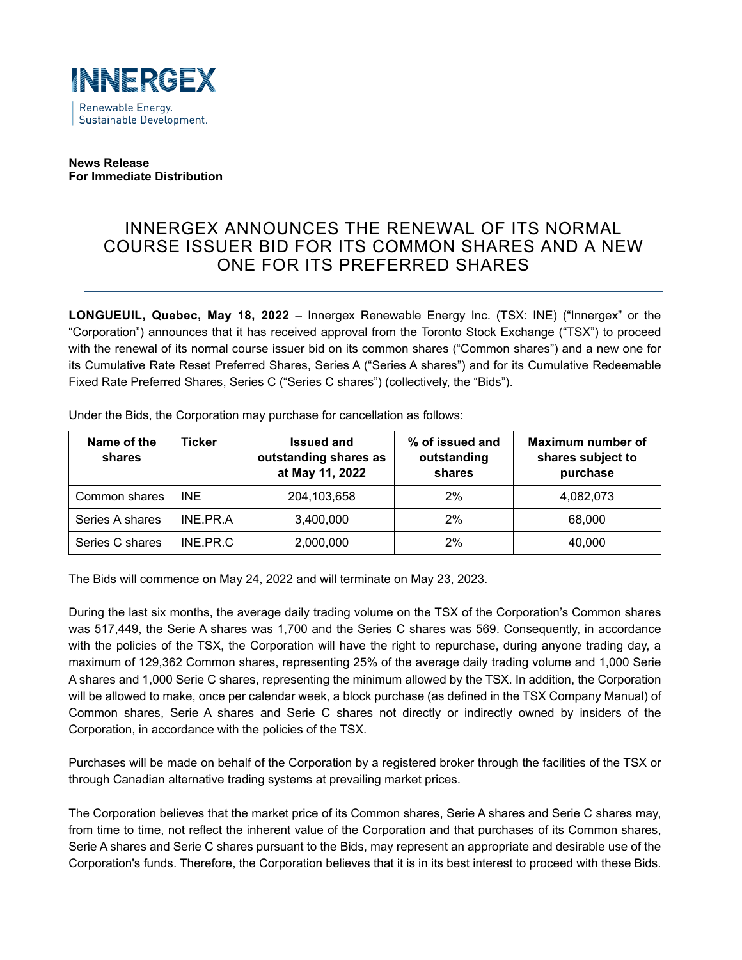

## **News Release For Immediate Distribution**

# INNERGEX ANNOUNCES THE RENEWAL OF ITS NORMAL COURSE ISSUER BID FOR ITS COMMON SHARES AND A NEW ONE FOR ITS PREFERRED SHARES

**LONGUEUIL, Quebec, May 18, 2022** – Innergex Renewable Energy Inc. (TSX: INE) ("Innergex" or the "Corporation") announces that it has received approval from the Toronto Stock Exchange ("TSX") to proceed with the renewal of its normal course issuer bid on its common shares ("Common shares") and a new one for its Cumulative Rate Reset Preferred Shares, Series A ("Series A shares") and for its Cumulative Redeemable Fixed Rate Preferred Shares, Series C ("Series C shares") (collectively, the "Bids").

| Name of the<br>shares | Ticker     | <b>Issued and</b><br>outstanding shares as<br>at May 11, 2022 | % of issued and<br>outstanding<br>shares | <b>Maximum number of</b><br>shares subject to<br>purchase |
|-----------------------|------------|---------------------------------------------------------------|------------------------------------------|-----------------------------------------------------------|
| Common shares         | <b>INE</b> | 204, 103, 658                                                 | 2%                                       | 4,082,073                                                 |
| Series A shares       | INE.PR.A   | 3,400,000                                                     | 2%                                       | 68,000                                                    |
| Series C shares       | INE.PR.C   | 2,000,000                                                     | 2%                                       | 40,000                                                    |

Under the Bids, the Corporation may purchase for cancellation as follows:

The Bids will commence on May 24, 2022 and will terminate on May 23, 2023.

During the last six months, the average daily trading volume on the TSX of the Corporation's Common shares was 517,449, the Serie A shares was 1,700 and the Series C shares was 569. Consequently, in accordance with the policies of the TSX, the Corporation will have the right to repurchase, during anyone trading day, a maximum of 129,362 Common shares, representing 25% of the average daily trading volume and 1,000 Serie A shares and 1,000 Serie C shares, representing the minimum allowed by the TSX. In addition, the Corporation will be allowed to make, once per calendar week, a block purchase (as defined in the TSX Company Manual) of Common shares, Serie A shares and Serie C shares not directly or indirectly owned by insiders of the Corporation, in accordance with the policies of the TSX.

Purchases will be made on behalf of the Corporation by a registered broker through the facilities of the TSX or through Canadian alternative trading systems at prevailing market prices.

The Corporation believes that the market price of its Common shares, Serie A shares and Serie C shares may, from time to time, not reflect the inherent value of the Corporation and that purchases of its Common shares, Serie A shares and Serie C shares pursuant to the Bids, may represent an appropriate and desirable use of the Corporation's funds. Therefore, the Corporation believes that it is in its best interest to proceed with these Bids.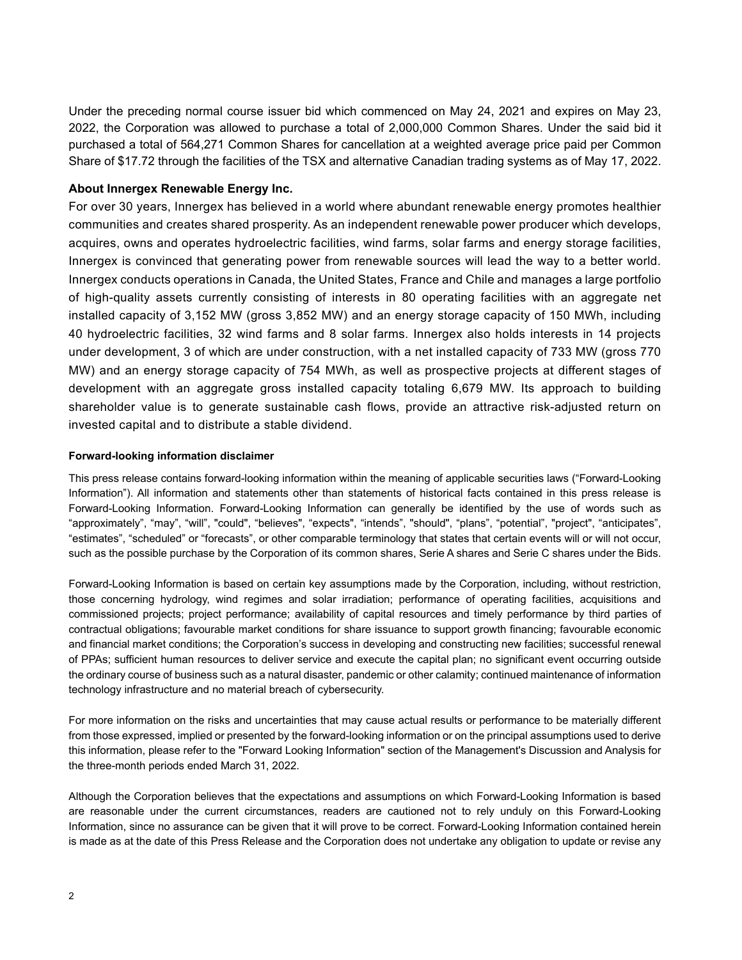Under the preceding normal course issuer bid which commenced on May 24, 2021 and expires on May 23, 2022, the Corporation was allowed to purchase a total of 2,000,000 Common Shares. Under the said bid it purchased a total of 564,271 Common Shares for cancellation at a weighted average price paid per Common Share of \$17.72 through the facilities of the TSX and alternative Canadian trading systems as of May 17, 2022.

### **About Innergex Renewable Energy Inc.**

For over 30 years, Innergex has believed in a world where abundant renewable energy promotes healthier communities and creates shared prosperity. As an independent renewable power producer which develops, acquires, owns and operates hydroelectric facilities, wind farms, solar farms and energy storage facilities, Innergex is convinced that generating power from renewable sources will lead the way to a better world. Innergex conducts operations in Canada, the United States, France and Chile and manages a large portfolio of high-quality assets currently consisting of interests in 80 operating facilities with an aggregate net installed capacity of 3,152 MW (gross 3,852 MW) and an energy storage capacity of 150 MWh, including 40 hydroelectric facilities, 32 wind farms and 8 solar farms. Innergex also holds interests in 14 projects under development, 3 of which are under construction, with a net installed capacity of 733 MW (gross 770 MW) and an energy storage capacity of 754 MWh, as well as prospective projects at different stages of development with an aggregate gross installed capacity totaling 6,679 MW. Its approach to building shareholder value is to generate sustainable cash flows, provide an attractive risk-adjusted return on invested capital and to distribute a stable dividend.

#### **Forward-looking information disclaimer**

This press release contains forward-looking information within the meaning of applicable securities laws ("Forward-Looking Information"). All information and statements other than statements of historical facts contained in this press release is Forward-Looking Information. Forward-Looking Information can generally be identified by the use of words such as "approximately", "may", "will", "could", "believes", "expects", "intends", "should", "plans", "potential", "project", "anticipates", "estimates", "scheduled" or "forecasts", or other comparable terminology that states that certain events will or will not occur, such as the possible purchase by the Corporation of its common shares, Serie A shares and Serie C shares under the Bids.

Forward-Looking Information is based on certain key assumptions made by the Corporation, including, without restriction, those concerning hydrology, wind regimes and solar irradiation; performance of operating facilities, acquisitions and commissioned projects; project performance; availability of capital resources and timely performance by third parties of contractual obligations; favourable market conditions for share issuance to support growth financing; favourable economic and financial market conditions; the Corporation's success in developing and constructing new facilities; successful renewal of PPAs; sufficient human resources to deliver service and execute the capital plan; no significant event occurring outside the ordinary course of business such as a natural disaster, pandemic or other calamity; continued maintenance of information technology infrastructure and no material breach of cybersecurity.

For more information on the risks and uncertainties that may cause actual results or performance to be materially different from those expressed, implied or presented by the forward-looking information or on the principal assumptions used to derive this information, please refer to the "Forward Looking Information" section of the Management's Discussion and Analysis for the three-month periods ended March 31, 2022.

Although the Corporation believes that the expectations and assumptions on which Forward-Looking Information is based are reasonable under the current circumstances, readers are cautioned not to rely unduly on this Forward-Looking Information, since no assurance can be given that it will prove to be correct. Forward-Looking Information contained herein is made as at the date of this Press Release and the Corporation does not undertake any obligation to update or revise any